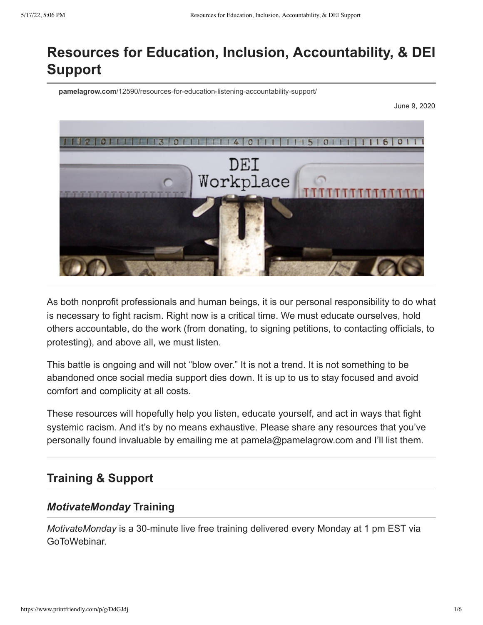# **Resources for Education, Inclusion, Accountability, & DEI Support**

**pamelagrow.com**[/12590/resources-for-education-listening-accountability-support/](https://www.pamelagrow.com/12590/resources-for-education-listening-accountability-support/)

June 9, 2020



As both nonprofit professionals and human beings, it is our personal responsibility to do what is necessary to fight racism. Right now is a critical time. We must educate ourselves, hold others accountable, do the work (from donating, to signing petitions, to contacting officials, to protesting), and above all, we must listen.

This battle is ongoing and will not "blow over." It is not a trend. It is not something to be abandoned once social media support dies down. It is up to us to stay focused and avoid comfort and complicity at all costs.

These resources will hopefully help you listen, educate yourself, and act in ways that fight systemic racism. And it's by no means exhaustive. Please share any resources that you've personally found invaluable by emailing me at pamela@pamelagrow.com and I'll list them.

# **Training & Support**

## *MotivateMonday* **Training**

*MotivateMonday* is a 30-minute live free training delivered every Monday at 1 pm EST via GoToWebinar.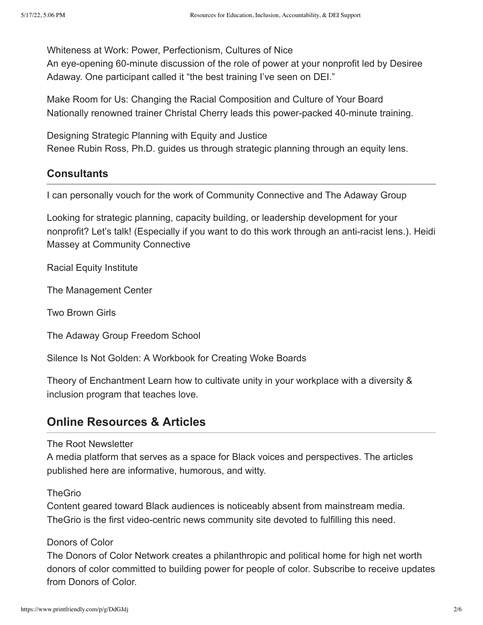[Whiteness at Work: Power, Perfectionism, Cultures of Nice](https://vimeo.com/616918267)

An eye-opening 60-minute discussion of the role of power at your nonprofit led by Desiree Adaway. One participant called it "the best training I've seen on DEI."

[Make Room for Us: Changing the Racial Composition and Culture of Your Board](https://vimeo.com/622724646) Nationally renowned trainer Christal Cherry leads this power-packed 40-minute training.

[Designing Strategic Planning with Equity and Justice](https://vimeo.com/574939997) Renee Rubin Ross, Ph.D. guides us through strategic planning through an equity lens.

### **Consultants**

I can personally vouch for the work of Community Connective and The Adaway Group

Looking for strategic planning, capacity building, or leadership development for your nonprofit? Let's talk! (Especially if you want to do this work through an anti-racist lens.). Heidi Massey at [Community Connective](http://communityconnective.com/services/become-an-anti-racist-nonprofit/)

[Racial Equity Institute](https://www.racialequityinstitute.com/)

[The Management Center](https://www.managementcenter.org/)

[Two Brown Girls](http://2brwngirls.com/)

[The Adaway Group Freedom School](https://adawaygroup.com/freedom-school/)

[Silence Is Not Golden: A Workbook for Creating Woke Boards](https://www.theboardpro.com/product-page/silence-is-not-golden-a-workbook-for-creating-woke-boards)

[Theory of Enchantment](https://theoryofenchantment.com/) Learn how to cultivate unity in your workplace with a diversity & inclusion program that teaches love.

# **Online Resources & Articles**

[The Root Newsletter](https://www.theroot.com/)

A media platform that serves as a space for Black voices and perspectives. The articles published here are informative, humorous, and witty.

#### **[TheGrio](https://thegrio.com/)**

Content geared toward Black audiences is noticeably absent from mainstream media. TheGrio is the first video-centric news community site devoted to fulfilling this need.

### [Donors of Color](https://www.donorsofcolor.org/)

The Donors of Color Network creates a philanthropic and political home for high net worth donors of color committed to building power for people of color. Subscribe to receive updates from Donors of Color.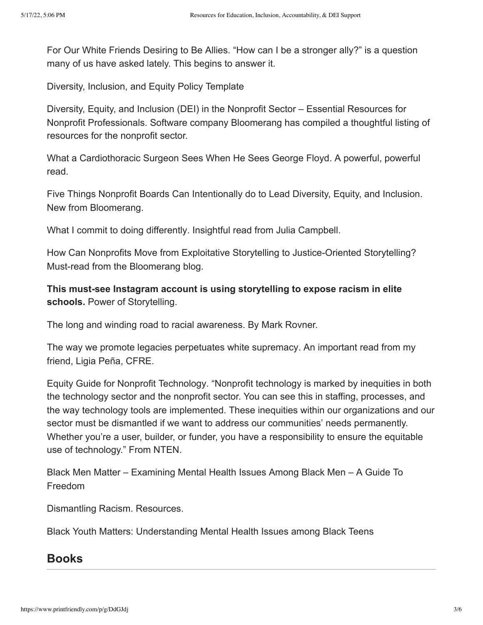[For Our White Friends Desiring to Be Allies.](https://sojo.net/articles/our-white-friends-desiring-be-allies?fbclid=IwAR3WpdizqAu8drhXaeOOea2YGkHGzxrYAHKCRNn34V_4RVHxoiEPaIJGx00) "How can I be a stronger ally?" is a question many of us have asked lately. This begins to answer it.

[Diversity, Inclusion, and Equity Policy Template](https://bloomerang.co/resources/templates/diversity-inclusion-and-equity-policy-template/?inf_contact_key=eee308eb072d4a55bd58dc9ef22c16631b0a3f0fd3ee5d9b43fb34c6613498d7)

Diversity, Equity, and Inclusion (DEI) in the Nonprofit Sector – Essential Resources for [Nonprofit Professionals. Software company Bloomerang has compiled a thoughtful list](https://bloomerang.co/dei/)ing of resources for the nonprofit sector.

[What a Cardiothoracic Surgeon Sees When He Sees George Floyd.](https://medium.com/@ncz459/what-a-cardiothoracic-surgeon-sees-when-he-sees-george-floyd-e055d0637b18) A powerful, powerful read.

[Five Things Nonprofit Boards Can Intentionally do to Lead Diversity, Equity, and Inclusion](https://bloomerang.co/blog/5-things-nonprofit-boards-can-do-to-intentionally-lead-on-diversity-equity-and-inclusion/). New from Bloomerang.

[What I commit to doing differently](https://jcsocialmarketing.com/2020/06/what-i-commit-to-doing-differently/). Insightful read from Julia Campbell.

[How Can Nonprofits Move from Exploitative Storytelling to Justice-Oriented Storytelling?](https://bloomerang.co/blog/how-can-nonprofits-move-from-exploitative-storytelling-to-justice-oriented-storytelling/) Must-read from the Bloomerang blog.

**This must-see Instagram account is using storytelling to expose racism in elite schools.** [Power of Storytelling](https://www.pamelagrow.com/12654/power-of-storytelling-this-instagram-account-is-using-storytelling-to-expose-racism-in-elite-schools/).

[The long and winding road to racial awareness.](http://seachangestrategies.com/the-long-and-winding-road-to-anti-racism/) By Mark Rovner.

[The way we promote legacies perpetuates white supremacy](https://globetrottingfundraiser.com/legacies-white-supremacy/). An important read from my friend, Ligia Peña, CFRE.

[Equity Guide for Nonprofit Technology.](https://www.nten.org/equity-guide-for-nonprofit-technology/) "Nonprofit technology is marked by inequities in both the technology sector and the nonprofit sector. You can see this in staffing, processes, and the way technology tools are implemented. These inequities within our organizations and our sector must be dismantled if we want to address our communities' needs permanently. Whether you're a user, builder, or funder, you have a responsibility to ensure the equitable use of technology." From NTEN.

[Black Men Matter – Examining Mental Health Issues Among Black Men – A Guide To](https://drugrehabus.org/mental-health-issues-among-black-men/) Freedom

[Dismantling Racism. Resources.](https://www.dismantlingracism.org/resources.html)

[Black Youth Matters: Understanding Mental Health Issues among Black Teens](https://betteraddictioncare.com/black-youth-matters-understanding-mental-health-issues-among-black-teens/)

### **Books**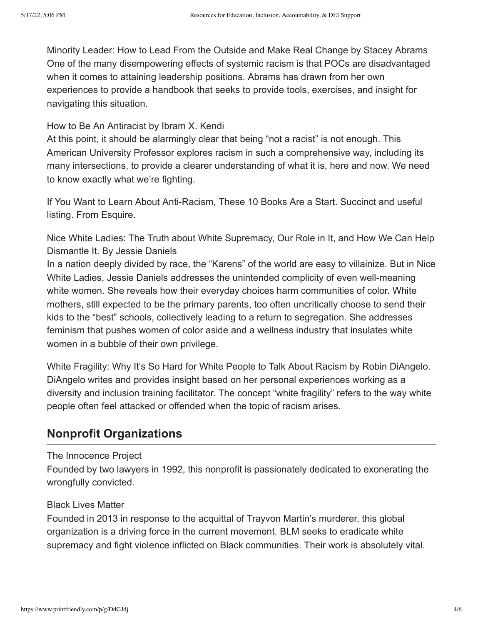[Minority Leader: How to Lead From the Outside and Make Real Change](https://amzn.to/3cRXzZD) by Stacey Abrams One of the many disempowering effects of systemic racism is that POCs are disadvantaged when it comes to attaining leadership positions. Abrams has drawn from her own experiences to provide a handbook that seeks to provide tools, exercises, and insight for navigating this situation.

### [How to Be An Antiracist](https://amzn.to/2MKQVdq) by Ibram X. Kendi

At this point, it should be alarmingly clear that being "not a racist" is not enough. This American University Professor explores racism in such a comprehensive way, including its many intersections, to provide a clearer understanding of what it is, here and now. We need to know exactly what we're fighting.

[If You Want to Learn About Anti-Racism, These 10 Books Are a Start](https://www.esquire.com/entertainment/books/g32733124/best-books-on-anti-racism/). Succinct and useful listing. From Esquire.

[Nice White Ladies: The Truth about White Supremacy, Our Role in It, and How We Can Help](https://amzn.to/3j0m5ho) Dismantle It. By Jessie Daniels

In a nation deeply divided by race, the "Karens" of the world are easy to villainize. But in Nice White Ladies, Jessie Daniels addresses the unintended complicity of even well-meaning white women. She reveals how their everyday choices harm communities of color. White mothers, still expected to be the primary parents, too often uncritically choose to send their kids to the "best" schools, collectively leading to a return to segregation. She addresses feminism that pushes women of color aside and a wellness industry that insulates white women in a bubble of their own privilege.

[White Fragility: Why It's So Hard for White People to Talk About Racism](https://amzn.to/2zj3ZDD) by Robin DiAngelo. DiAngelo writes and provides insight based on her personal experiences working as a diversity and inclusion training facilitator. The concept "white fragility" refers to the way white people often feel attacked or offended when the topic of racism arises.

# **Nonprofit Organizations**

### [The Innocence Project](https://www.innocenceproject.org/)

Founded by two lawyers in 1992, this nonprofit is passionately dedicated to exonerating the wrongfully convicted.

### [Black Lives Matter](https://blacklivesmatter.com/)

Founded in 2013 in response to the acquittal of Trayvon Martin's murderer, this global organization is a driving force in the current movement. BLM seeks to eradicate white supremacy and fight violence inflicted on Black communities. Their work is absolutely vital.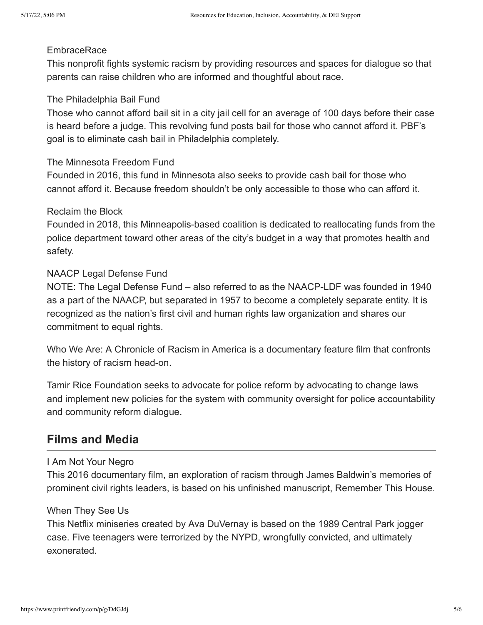#### **[EmbraceRace](https://www.embracerace.org/)**

This nonprofit fights systemic racism by providing resources and spaces for dialogue so that parents can raise children who are informed and thoughtful about race.

#### [The Philadelphia Bail Fund](https://www.phillybailfund.org/)

Those who cannot afford bail sit in a city jail cell for an average of 100 days before their case is heard before a judge. This revolving fund posts bail for those who cannot afford it. PBF's goal is to eliminate cash bail in Philadelphia completely.

#### [The Minnesota Freedom Fund](https://minnesotafreedomfund.org/)

Founded in 2016, this fund in Minnesota also seeks to provide cash bail for those who cannot afford it. Because freedom shouldn't be only accessible to those who can afford it.

#### [Reclaim the Block](https://www.reclaimtheblock.org/home)

Founded in 2018, this Minneapolis-based coalition is dedicated to reallocating funds from the police department toward other areas of the city's budget in a way that promotes health and safety.

#### [NAACP Legal Defense Fund](https://naacp.org/)

NOTE: The Legal Defense Fund – also referred to as the NAACP-LDF was founded in 1940 as a part of the NAACP, but separated in 1957 to become a completely separate entity. It is recognized as the nation's first civil and human rights law organization and shares our commitment to equal rights.

[Who We Are: A Chronicle of Racism in America](https://thewhoweareproject.org/the-project) is a documentary feature film that confronts the history of racism head-on.

[Tamir Rice Foundation](https://www.tamirericefoundation.org/) seeks to advocate for police reform by advocating to change laws and implement new policies for the system with community oversight for police accountability and community reform dialogue.

# **Films and Media**

#### [I Am Not Your Negro](https://amzn.to/2AjvLAk)

This 2016 documentary film, an exploration of racism through James Baldwin's memories of prominent civil rights leaders, is based on his unfinished manuscript, Remember This House.

#### [When They See Us](https://www.netflix.com/title/80200549)

This Netflix miniseries created by Ava DuVernay is based on the 1989 Central Park jogger case. Five teenagers were terrorized by the NYPD, wrongfully convicted, and ultimately exonerated.